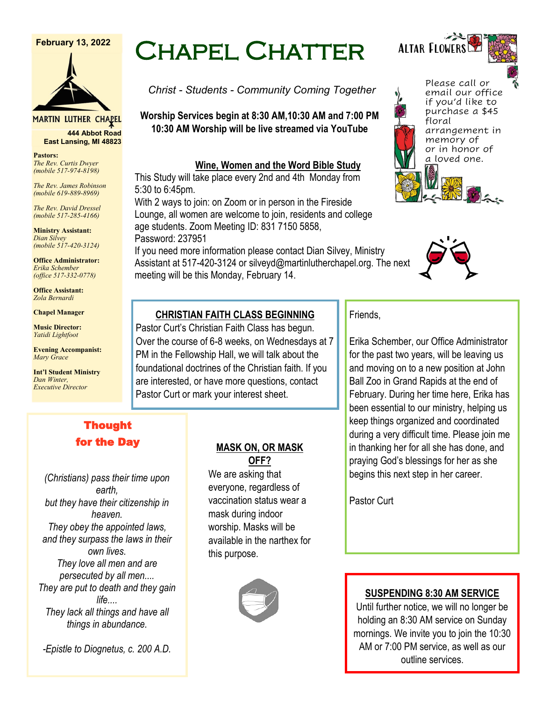#### **February 13, 2022**



**MARTIN LUTHER CHAPEL 444 Abbot Road**

**Pastors: East Lansing, MI 48823**

*The Rev. Curtis Dwyer (mobile 517-974-8198)*

*The Rev. James Robinson (mobile 619-889-8969)*

*The Rev. David Dressel (mobile 517-285-4166)*

**Ministry Assistant:**  *Dian Silvey (mobile 517-420-3124)*

**Office Administrator:** *Erika Schember (office 517-332-0778)*

**Office Assistant:** *Zola Bernardi*

**Chapel Manager** 

**Music Director:** *Yatidi Lightfoot* 

**Evening Accompanist:** *Mary Grace*

**Int'l Student Ministry** *Dan Winter, Executive Director*

# Thought for the Day

*(Christians) pass their time upon earth, but they have their citizenship in heaven. They obey the appointed laws, and they surpass the laws in their own lives. They love all men and are persecuted by all men.... They are put to death and they gain life.... They lack all things and have all things in abundance.*

*-Epistle to Diognetus, c. 200 A.D.*

# Chapel Chatter

*Christ - Students - Community Coming Together*

**Worship Services begin at 8:30 AM,10:30 AM and 7:00 PM 10:30 AM Worship will be live streamed via YouTube**

## **Wine, Women and the Word Bible Study**

This Study will take place every 2nd and 4th Monday from 5:30 to 6:45pm.

With 2 ways to join: on Zoom or in person in the Fireside Lounge, all women are welcome to join, residents and college age students. Zoom Meeting ID: 831 7150 5858, Password: 237951

If you need more information please contact Dian Silvey, Ministry Assistant at 517-420-3124 or silveyd@martinlutherchapel.org. The next meeting will be this Monday, February 14.



Erika Schember, our Office Administrator for the past two years, will be leaving us and moving on to a new position at John Ball Zoo in Grand Rapids at the end of February. During her time here, Erika has been essential to our ministry, helping us keep things organized and coordinated during a very difficult time. Please join me in thanking her for all she has done, and praying God's blessings for her as she begins this next step in her career.

Friends,

Pastor Curt

## **CHRISTIAN FAITH CLASS BEGINNING**

Pastor Curt's Christian Faith Class has begun. Over the course of 6-8 weeks, on Wednesdays at 7 PM in the Fellowship Hall, we will talk about the foundational doctrines of the Christian faith. If you are interested, or have more questions, contact Pastor Curt or mark your interest sheet.

## **MASK ON, OR MASK OFF?**

We are asking that everyone, regardless of vaccination status wear a mask during indoor worship. Masks will be available in the narthex for this purpose.



## **SUSPENDING 8:30 AM SERVICE**

Until further notice, we will no longer be holding an 8:30 AM service on Sunday mornings. We invite you to join the 10:30 AM or 7:00 PM service, as well as our outline services.

Altar Flowers

Please call or email our office if you'd like to purchase a \$45 floral arrangement in memory of or in honor of a loved one.